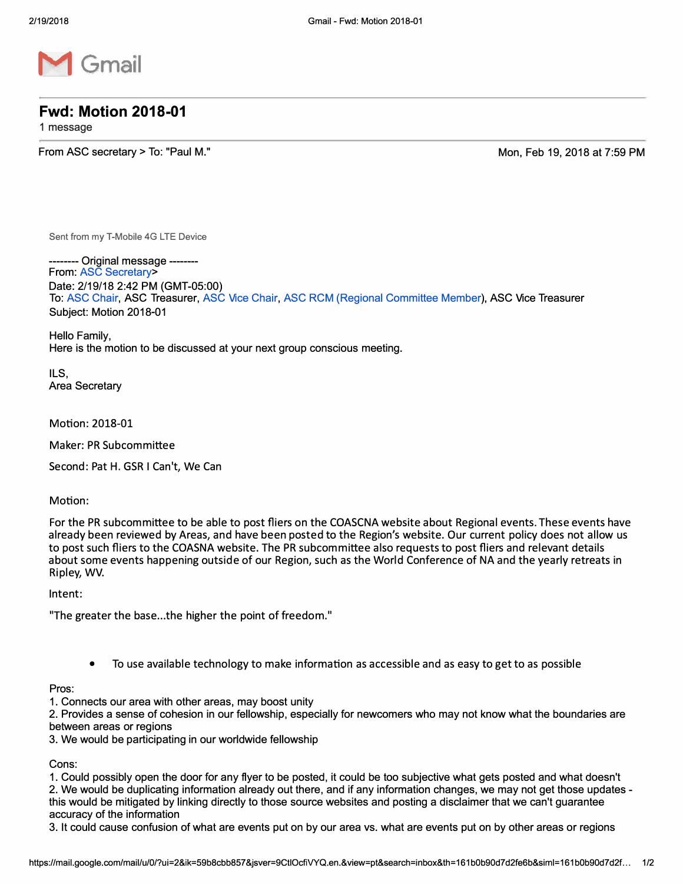

## **Fwd: Motion 2018-01**

1 message

From ASC secretary > To: "Paul M."

Mon, Feb 19, 2018 at 7:59 PM

Sent from my T-Mobile 4G LTE Device

-------- Original message -------- From: ASC Secretary> Date: 2/19/18 2:42 PM (GMT-05:00) To: ASC Chair, ASC Treasurer, ASC Vice Chair, ASC RCM (Regional Committee Member), ASC Vice Treasurer Subject: Motion 2018-01

Hello Family, Here is the motion to be discussed at your next group conscious meeting.

ILS, Area Secretary

Motion: 2018-01

Maker: PR Subcommittee

Second: Pat H. GSR I Can't, We Can

Motion:

For the PR subcommittee to be able to post fliers on the COASCNA website about Regional events. These events have already been reviewed by Areas, and have been posted to the Region's website. Our current policy does not allow us to post such fliers to the COASNA website. The PR subcommittee also requests to post fliers and relevant details about some events happening outside of our Region, such as the World Conference of NA and the yearly retreats in Ripley, WV.

Intent:

"The greater the base...the higher the point of freedom."

• To use available technology to make information as accessible and as easy to get to as possible

Pros:

1. Connects our area with other areas, may boost unity

2. Provides a sense of cohesion in our fellowship, especially for newcomers who may not know what the boundaries are between areas or regions

3. We would be participating in our worldwide fellowship

Cons:

1. Could possibly open the door for any flyer to be posted, it could be too subjective what gets posted and what doesn't 2. We would be duplicating information already out there, and if any information changes, we may not get those updates this would be mitigated by linking directly to those source websites and posting a disclaimer that we can't guarantee accuracy of the information

3. It could cause confusion of what are events put on by our area vs. what are events put on by other areas or regions